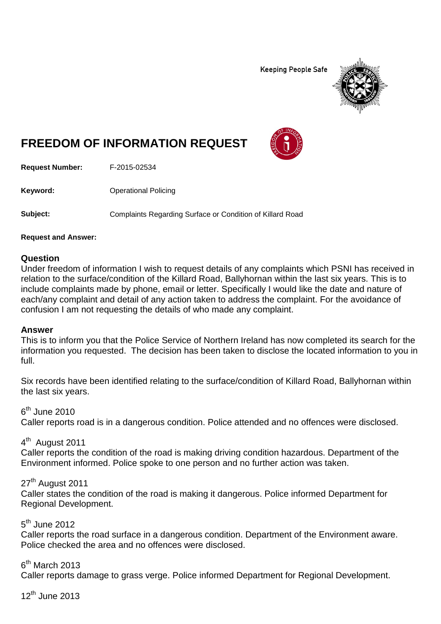**Keeping People Safe** 



# **FREEDOM OF INFORMATION REQUEST**

**Request Number:** F-2015-02534

**Keyword:** Operational Policing

**Subject:** Complaints Regarding Surface or Condition of Killard Road

#### **Request and Answer:**

#### **Question**

Under freedom of information I wish to request details of any complaints which PSNI has received in relation to the surface/condition of the Killard Road, Ballyhornan within the last six years. This is to include complaints made by phone, email or letter. Specifically I would like the date and nature of each/any complaint and detail of any action taken to address the complaint. For the avoidance of confusion I am not requesting the details of who made any complaint.

#### **Answer**

This is to inform you that the Police Service of Northern Ireland has now completed its search for the information you requested. The decision has been taken to disclose the located information to you in full.

Six records have been identified relating to the surface/condition of Killard Road, Ballyhornan within the last six years.

## $6<sup>th</sup>$  June 2010

Caller reports road is in a dangerous condition. Police attended and no offences were disclosed.

## 4<sup>th</sup> August 2011

Caller reports the condition of the road is making driving condition hazardous. Department of the Environment informed. Police spoke to one person and no further action was taken.

## 27<sup>th</sup> August 2011

Caller states the condition of the road is making it dangerous. Police informed Department for Regional Development.

## $5<sup>th</sup>$  June 2012

Caller reports the road surface in a dangerous condition. Department of the Environment aware. Police checked the area and no offences were disclosed.

 $6<sup>th</sup>$  March 2013

Caller reports damage to grass verge. Police informed Department for Regional Development.

 $12<sup>th</sup>$  June 2013